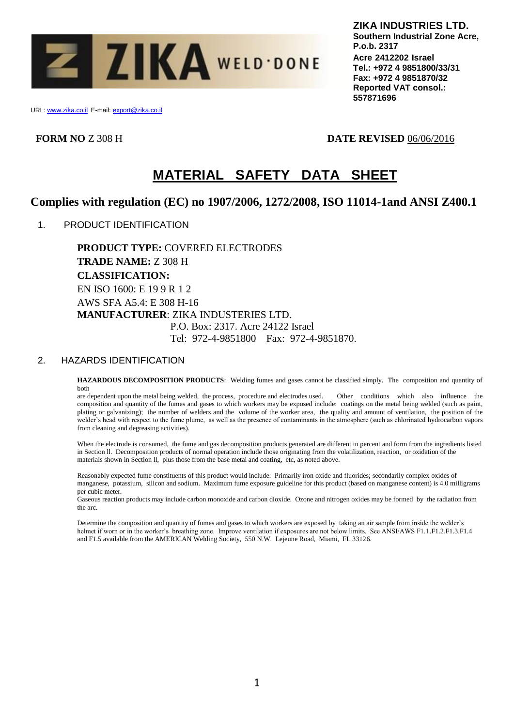

URL: www.zika.co.il E-mail: export@zika.co.il

**FORM NO** Z 308 H **DATE REVISED** 06/06/2016

# **MATERIAL SAFETY DATA SHEET**

# **Complies with regulation (EC) no 1907/2006, 1272/2008, ISO 11014-1and ANSI Z400.1**

1. PRODUCT IDENTIFICATION

**PRODUCT TYPE:** COVERED ELECTRODES **TRADE NAME:** Z 308 H **CLASSIFICATION:** EN ISO 1600: E 19 9 R 1 2 AWS SFA A5.4: E 308 H-16 **MANUFACTURER**: ZIKA INDUSTERIES LTD. P.O. Box: 2317. Acre 24122 Israel Tel: 972-4-9851800 Fax: 972-4-9851870.

# 2. HAZARDS IDENTIFICATION

**HAZARDOUS DECOMPOSITION PRODUCTS**: Welding fumes and gases cannot be classified simply. The composition and quantity of both

are dependent upon the metal being welded, the process, procedure and electrodes used. Other conditions which also influence the composition and quantity of the fumes and gases to which workers may be exposed include: coatings on the metal being welded (such as paint, plating or galvanizing); the number of welders and the volume of the worker area, the quality and amount of ventilation, the position of the welder's head with respect to the fume plume, as well as the presence of contaminants in the atmosphere (such as chlorinated hydrocarbon vapors from cleaning and degreasing activities).

When the electrode is consumed, the fume and gas decomposition products generated are different in percent and form from the ingredients listed in Section ll. Decomposition products of normal operation include those originating from the volatilization, reaction, or oxidation of the materials shown in Section ll, plus those from the base metal and coating, etc, as noted above.

Reasonably expected fume constituents of this product would include: Primarily iron oxide and fluorides; secondarily complex oxides of manganese, potassium, silicon and sodium. Maximum fume exposure guideline for this product (based on manganese content) is 4.0 milligrams per cubic meter.

Gaseous reaction products may include carbon monoxide and carbon dioxide. Ozone and nitrogen oxides may be formed by the radiation from the arc.

Determine the composition and quantity of fumes and gases to which workers are exposed by taking an air sample from inside the welder's helmet if worn or in the worker's breathing zone. Improve ventilation if exposures are not below limits. See ANSI/AWS F1.1.F1.2.F1.3.F1.4 and F1.5 available from the AMERICAN Welding Society, 550 N.W. Lejeune Road, Miami, FL 33126.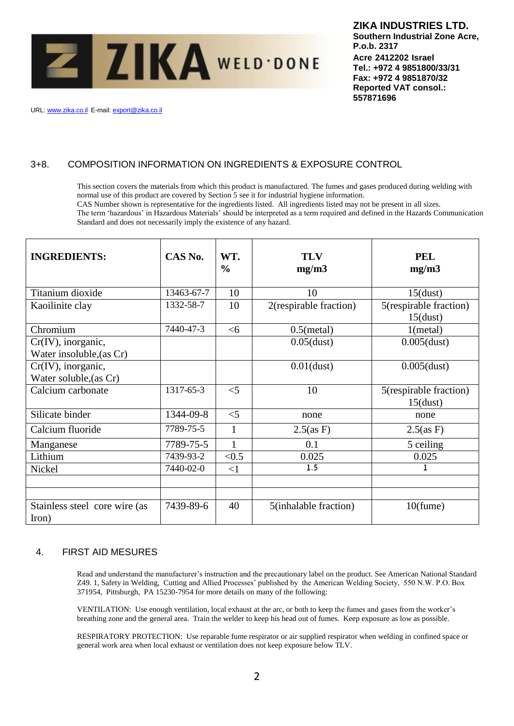

URL: www.zika.co.il E-mail: export@zika.co.il

# 3+8. COMPOSITION INFORMATION ON INGREDIENTS & EXPOSURE CONTROL

This section covers the materials from which this product is manufactured. The fumes and gases produced during welding with normal use of this product are covered by Section 5 see it for industrial hygiene information.

CAS Number shown is representative for the ingredients listed. All ingredients listed may not be present in all sizes.

The term 'hazardous' in Hazardous Materials' should be interpreted as a term required and defined in the Hazards Communication Standard and does not necessarily imply the existence of any hazard.

| <b>INGREDIENTS:</b>                               | CAS No.    | WT.<br>$\frac{0}{0}$ | <b>TLV</b><br>mg/m3    | <b>PEL</b><br>mg/m3                   |
|---------------------------------------------------|------------|----------------------|------------------------|---------------------------------------|
| Titanium dioxide                                  | 13463-67-7 | 10                   | 10                     | $15$ (dust)                           |
| Kaoilinite clay                                   | 1332-58-7  | 10                   | 2(respirable fraction) | 5(respirable fraction)<br>$15$ (dust) |
| Chromium                                          | 7440-47-3  | <6                   | $0.5$ (metal)          | 1(metal)                              |
| $Cr(IV)$ , inorganic,<br>Water insoluble, (as Cr) |            |                      | $0.05$ (dust)          | $0.005$ (dust)                        |
| Cr(IV), inorganic,<br>Water soluble, (as Cr)      |            |                      | $0.01$ (dust)          | $0.005$ (dust)                        |
| Calcium carbonate                                 | 1317-65-3  | $<$ 5                | 10                     | 5(respirable fraction)<br>$15$ (dust) |
| Silicate binder                                   | 1344-09-8  | $<$ 5                | none                   | none                                  |
| Calcium fluoride                                  | 7789-75-5  | $\mathbf{1}$         | $2.5$ (as F)           | $2.5$ (as F)                          |
| Manganese                                         | 7789-75-5  | $\mathbf{1}$         | 0.1                    | 5 ceiling                             |
| Lithium                                           | 7439-93-2  | < 0.5                | 0.025                  | 0.025                                 |
| Nickel                                            | 7440-02-0  | <1                   | 1.5                    | 1                                     |
|                                                   |            |                      |                        |                                       |
| Stainless steel core wire (as<br>Iron)            | 7439-89-6  | 40                   | 5(inhalable fraction)  | $10$ (fume)                           |

# 4. FIRST AID MESURES

Read and understand the manufacturer's instruction and the precautionary label on the product. See American National Standard Z49. 1, Safety in Welding, Cutting and Allied Processes' published by the American Welding Society, 550 N.W. P.O. Box 371954, Pittsburgh, PA 15230-7954 for more details on many of the following:

VENTILATION: Use enough ventilation, local exhaust at the arc, or both to keep the fumes and gases from the worker's breathing zone and the general area. Train the welder to keep his head out of fumes. Keep exposure as low as possible.

RESPIRATORY PROTECTION: Use reparable fume respirator or air supplied respirator when welding in confined space or general work area when local exhaust or ventilation does not keep exposure below TLV.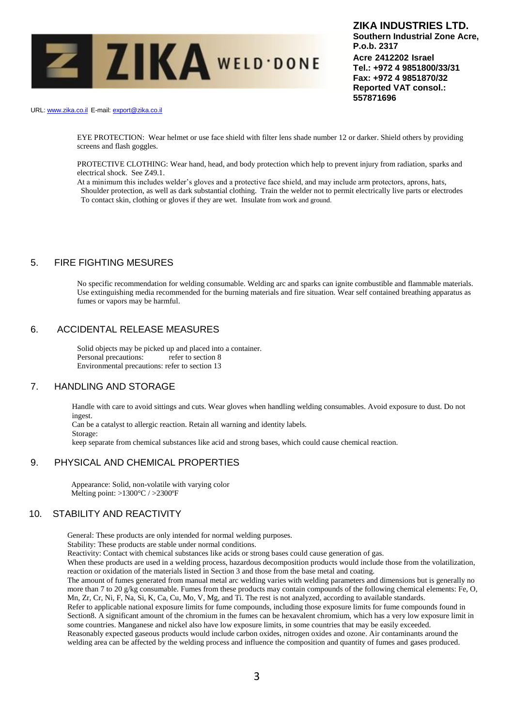

URL: www.zika.co.il E-mail: export@zika.co.il

EYE PROTECTION: Wear helmet or use face shield with filter lens shade number 12 or darker. Shield others by providing screens and flash goggles.

PROTECTIVE CLOTHING: Wear hand, head, and body protection which help to prevent injury from radiation, sparks and electrical shock. See Z49.1.

At a minimum this includes welder's gloves and a protective face shield, and may include arm protectors, aprons, hats, Shoulder protection, as well as dark substantial clothing. Train the welder not to permit electrically live parts or electrodes To contact skin, clothing or gloves if they are wet. Insulate from work and ground.

# 5. FIRE FIGHTING MESURES

No specific recommendation for welding consumable. Welding arc and sparks can ignite combustible and flammable materials. Use extinguishing media recommended for the burning materials and fire situation. Wear self contained breathing apparatus as fumes or vapors may be harmful.

#### 6. ACCIDENTAL RELEASE MEASURES

Solid objects may be picked up and placed into a container. Personal precautions: refer to section 8 Environmental precautions: refer to section 13

# 7. HANDLING AND STORAGE

Storage:

Handle with care to avoid sittings and cuts. Wear gloves when handling welding consumables. Avoid exposure to dust. Do not ingest. Can be a catalyst to allergic reaction. Retain all warning and identity labels.

keep separate from chemical substances like acid and strong bases, which could cause chemical reaction.

#### 9. PHYSICAL AND CHEMICAL PROPERTIES

 Appearance: Solid, non-volatile with varying color Melting point: >1300°C / >2300ºF

#### 10. STABILITY AND REACTIVITY

General: These products are only intended for normal welding purposes.

Stability: These products are stable under normal conditions.

Reactivity: Contact with chemical substances like acids or strong bases could cause generation of gas.

When these products are used in a welding process, hazardous decomposition products would include those from the volatilization, reaction or oxidation of the materials listed in Section 3 and those from the base metal and coating.

The amount of fumes generated from manual metal arc welding varies with welding parameters and dimensions but is generally no more than 7 to 20 g/kg consumable. Fumes from these products may contain compounds of the following chemical elements: Fe, O, Mn, Zr, Cr, Ni, F, Na, Si, K, Ca, Cu, Mo, V, Mg, and Ti. The rest is not analyzed, according to available standards.

Refer to applicable national exposure limits for fume compounds, including those exposure limits for fume compounds found in Section8. A significant amount of the chromium in the fumes can be hexavalent chromium, which has a very low exposure limit in some countries. Manganese and nickel also have low exposure limits, in some countries that may be easily exceeded. Reasonably expected gaseous products would include carbon oxides, nitrogen oxides and ozone. Air contaminants around the

welding area can be affected by the welding process and influence the composition and quantity of fumes and gases produced.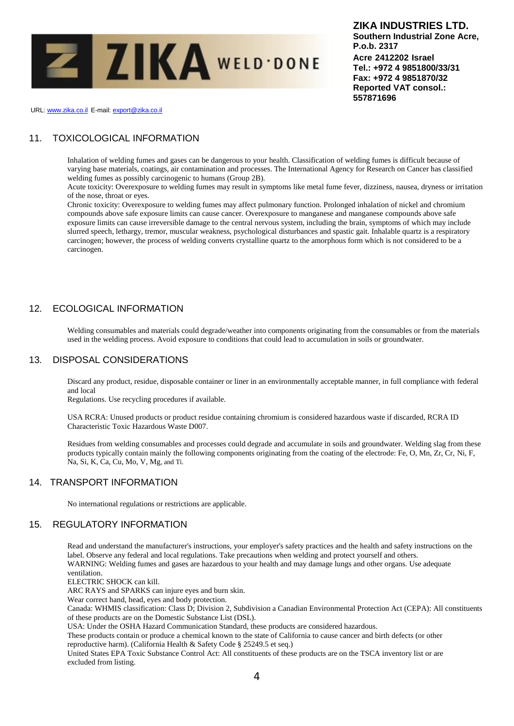

URL: www.zika.co.il E-mail: export@zika.co.il

# 11. TOXICOLOGICAL INFORMATION

Inhalation of welding fumes and gases can be dangerous to your health. Classification of welding fumes is difficult because of varying base materials, coatings, air contamination and processes. The International Agency for Research on Cancer has classified welding fumes as possibly carcinogenic to humans (Group 2B).

Acute toxicity: Overexposure to welding fumes may result in symptoms like metal fume fever, dizziness, nausea, dryness or irritation of the nose, throat or eyes.

Chronic toxicity: Overexposure to welding fumes may affect pulmonary function. Prolonged inhalation of nickel and chromium compounds above safe exposure limits can cause cancer. Overexposure to manganese and manganese compounds above safe exposure limits can cause irreversible damage to the central nervous system, including the brain, symptoms of which may include slurred speech, lethargy, tremor, muscular weakness, psychological disturbances and spastic gait. Inhalable quartz is a respiratory carcinogen; however, the process of welding converts crystalline quartz to the amorphous form which is not considered to be a carcinogen.

# 12. ECOLOGICAL INFORMATION

Welding consumables and materials could degrade/weather into components originating from the consumables or from the materials used in the welding process. Avoid exposure to conditions that could lead to accumulation in soils or groundwater.

# 13. DISPOSAL CONSIDERATIONS

Discard any product, residue, disposable container or liner in an environmentally acceptable manner, in full compliance with federal and local

Regulations. Use recycling procedures if available.

USA RCRA: Unused products or product residue containing chromium is considered hazardous waste if discarded, RCRA ID Characteristic Toxic Hazardous Waste D007.

Residues from welding consumables and processes could degrade and accumulate in soils and groundwater. Welding slag from these products typically contain mainly the following components originating from the coating of the electrode: Fe, O, Mn, Zr, Cr, Ni, F, Na, Si, K, Ca, Cu, Mo, V, Mg, and Ti.

# 14. TRANSPORT INFORMATION

No international regulations or restrictions are applicable.

# 15. REGULATORY INFORMATION

Read and understand the manufacturer's instructions, your employer's safety practices and the health and safety instructions on the label. Observe any federal and local regulations. Take precautions when welding and protect yourself and others. WARNING: Welding fumes and gases are hazardous to your health and may damage lungs and other organs. Use adequate ventilation.

ELECTRIC SHOCK can kill.

ARC RAYS and SPARKS can injure eyes and burn skin.

Wear correct hand, head, eyes and body protection.

Canada: WHMIS classification: Class D; Division 2, Subdivision a Canadian Environmental Protection Act (CEPA): All constituents of these products are on the Domestic Substance List (DSL).

USA: Under the OSHA Hazard Communication Standard, these products are considered hazardous.

These products contain or produce a chemical known to the state of California to cause cancer and birth defects (or other reproductive harm). (California Health & Safety Code § 25249.5 et seq.)

United States EPA Toxic Substance Control Act: All constituents of these products are on the TSCA inventory list or are excluded from listing.